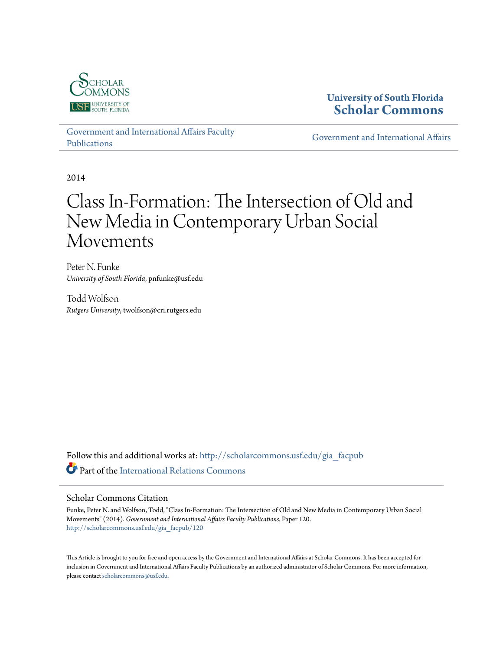

# **University of South Florida [Scholar Commons](http://scholarcommons.usf.edu?utm_source=scholarcommons.usf.edu%2Fgia_facpub%2F120&utm_medium=PDF&utm_campaign=PDFCoverPages)**

[Government and International Affairs Faculty](http://scholarcommons.usf.edu/gia_facpub?utm_source=scholarcommons.usf.edu%2Fgia_facpub%2F120&utm_medium=PDF&utm_campaign=PDFCoverPages) [Publications](http://scholarcommons.usf.edu/gia_facpub?utm_source=scholarcommons.usf.edu%2Fgia_facpub%2F120&utm_medium=PDF&utm_campaign=PDFCoverPages)

[Government and International Affairs](http://scholarcommons.usf.edu/gia?utm_source=scholarcommons.usf.edu%2Fgia_facpub%2F120&utm_medium=PDF&utm_campaign=PDFCoverPages)

2014

# Class In-Formation: The Intersection of Old and New Media in Contemporary Urban Social Movements

Peter N. Funke *University of South Florida*, pnfunke@usf.edu

Todd Wolfson *Rutgers University*, twolfson@cri.rutgers.edu

Follow this and additional works at: [http://scholarcommons.usf.edu/gia\\_facpub](http://scholarcommons.usf.edu/gia_facpub?utm_source=scholarcommons.usf.edu%2Fgia_facpub%2F120&utm_medium=PDF&utm_campaign=PDFCoverPages) Part of the [International Relations Commons](http://network.bepress.com/hgg/discipline/389?utm_source=scholarcommons.usf.edu%2Fgia_facpub%2F120&utm_medium=PDF&utm_campaign=PDFCoverPages)

#### Scholar Commons Citation

Funke, Peter N. and Wolfson, Todd, "Class In-Formation: The Intersection of Old and New Media in Contemporary Urban Social Movements" (2014). *Government and International Affairs Faculty Publications.* Paper 120. [http://scholarcommons.usf.edu/gia\\_facpub/120](http://scholarcommons.usf.edu/gia_facpub/120?utm_source=scholarcommons.usf.edu%2Fgia_facpub%2F120&utm_medium=PDF&utm_campaign=PDFCoverPages)

This Article is brought to you for free and open access by the Government and International Affairs at Scholar Commons. It has been accepted for inclusion in Government and International Affairs Faculty Publications by an authorized administrator of Scholar Commons. For more information, please contact [scholarcommons@usf.edu.](mailto:scholarcommons@usf.edu)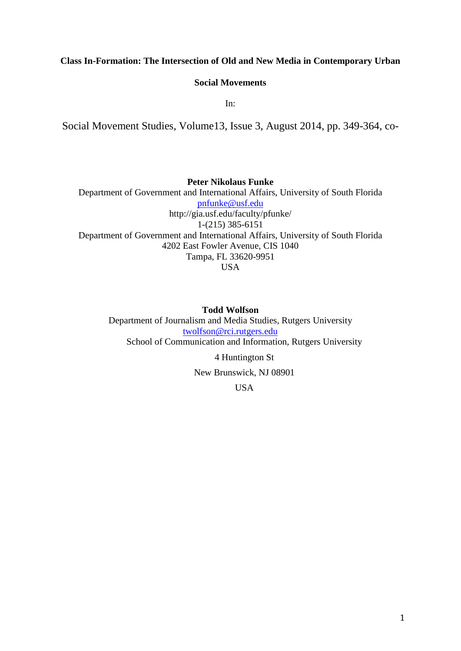## **Class In-Formation: The Intersection of Old and New Media in Contemporary Urban**

#### **Social Movements**

In:

Social Movement Studies, Volume13, Issue 3, August 2014, pp. 349-364, co-

**Peter Nikolaus Funke** Department of Government and International Affairs, University of South Florida [pnfunke@usf.edu](mailto:pnfunke@usf.edu) http://gia.usf.edu/faculty/pfunke/ 1-(215) 385-6151 Department of Government and International Affairs, University of South Florida 4202 East Fowler Avenue, CIS 1040 Tampa, FL 33620-9951 USA

### **Todd Wolfson**

Department of Journalism and Media Studies, Rutgers University [twolfson@rci.rutgers.edu](mailto:twolfson@rci.rutgers.edu) School of Communication and Information, Rutgers University

4 Huntington St

New Brunswick, NJ 08901

USA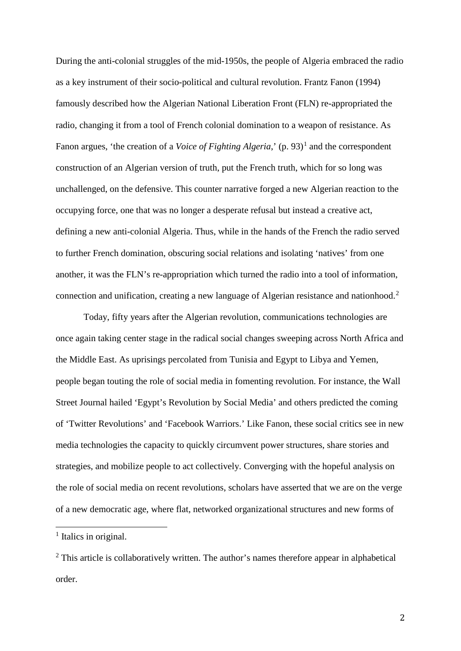During the anti-colonial struggles of the mid-1950s, the people of Algeria embraced the radio as a key instrument of their socio-political and cultural revolution. Frantz Fanon (1994) famously described how the Algerian National Liberation Front (FLN) re-appropriated the radio, changing it from a tool of French colonial domination to a weapon of resistance. As Fanon argues, 'the creation of a *Voice of Fighting Algeria*,' (p. 93)<sup>[1](#page-2-0)</sup> and the correspondent construction of an Algerian version of truth, put the French truth, which for so long was unchallenged, on the defensive. This counter narrative forged a new Algerian reaction to the occupying force, one that was no longer a desperate refusal but instead a creative act, defining a new anti-colonial Algeria. Thus, while in the hands of the French the radio served to further French domination, obscuring social relations and isolating 'natives' from one another, it was the FLN's re-appropriation which turned the radio into a tool of information, connection and unification, creating a new language of Algerian resistance and nationhood.[2](#page-2-1)

Today, fifty years after the Algerian revolution, communications technologies are once again taking center stage in the radical social changes sweeping across North Africa and the Middle East. As uprisings percolated from Tunisia and Egypt to Libya and Yemen, people began touting the role of social media in fomenting revolution. For instance, the Wall Street Journal hailed 'Egypt's Revolution by Social Media' and others predicted the coming of 'Twitter Revolutions' and 'Facebook Warriors.' Like Fanon, these social critics see in new media technologies the capacity to quickly circumvent power structures, share stories and strategies, and mobilize people to act collectively. Converging with the hopeful analysis on the role of social media on recent revolutions, scholars have asserted that we are on the verge of a new democratic age, where flat, networked organizational structures and new forms of

<span id="page-2-0"></span><sup>&</sup>lt;sup>1</sup> Italics in original.

<span id="page-2-1"></span><sup>&</sup>lt;sup>2</sup> This article is collaboratively written. The author's names therefore appear in alphabetical order.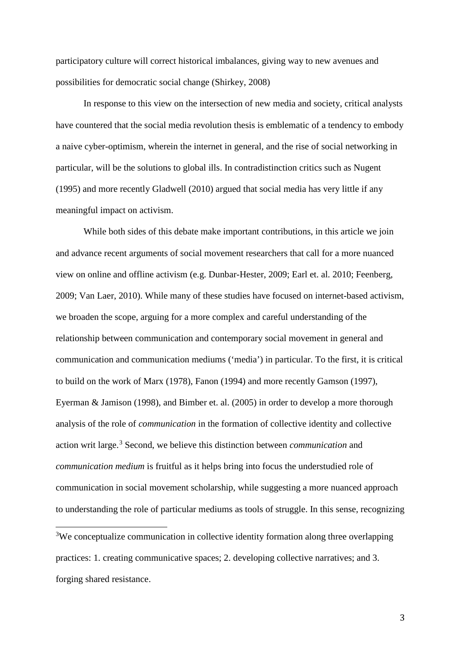participatory culture will correct historical imbalances, giving way to new avenues and possibilities for democratic social change (Shirkey, 2008)

In response to this view on the intersection of new media and society, critical analysts have countered that the social media revolution thesis is emblematic of a tendency to embody a naive cyber-optimism, wherein the internet in general, and the rise of social networking in particular, will be the solutions to global ills. In contradistinction critics such as Nugent (1995) and more recently Gladwell (2010) argued that social media has very little if any meaningful impact on activism.

While both sides of this debate make important contributions, in this article we join and advance recent arguments of social movement researchers that call for a more nuanced view on online and offline activism (e.g. Dunbar-Hester, 2009; Earl et. al. 2010; Feenberg, 2009; Van Laer, 2010). While many of these studies have focused on internet-based activism, we broaden the scope, arguing for a more complex and careful understanding of the relationship between communication and contemporary social movement in general and communication and communication mediums ('media') in particular. To the first, it is critical to build on the work of Marx (1978), Fanon (1994) and more recently Gamson (1997), Eyerman & Jamison (1998), and Bimber et. al. (2005) in order to develop a more thorough analysis of the role of *communication* in the formation of collective identity and collective action writ large.[3](#page-3-0) Second, we believe this distinction between *communication* and *communication medium* is fruitful as it helps bring into focus the understudied role of communication in social movement scholarship, while suggesting a more nuanced approach to understanding the role of particular mediums as tools of struggle. In this sense, recognizing

<span id="page-3-0"></span><sup>3</sup>We conceptualize communication in collective identity formation along three overlapping practices: 1. creating communicative spaces; 2. developing collective narratives; and 3. forging shared resistance.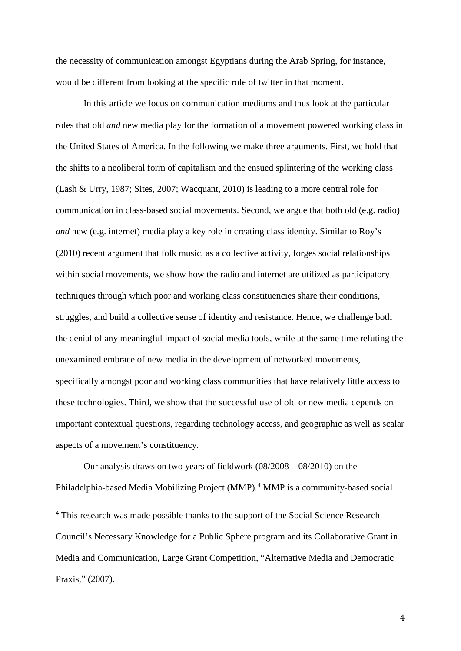the necessity of communication amongst Egyptians during the Arab Spring, for instance, would be different from looking at the specific role of twitter in that moment.

In this article we focus on communication mediums and thus look at the particular roles that old *and* new media play for the formation of a movement powered working class in the United States of America. In the following we make three arguments. First, we hold that the shifts to a neoliberal form of capitalism and the ensued splintering of the working class (Lash & Urry, 1987; Sites, 2007; Wacquant, 2010) is leading to a more central role for communication in class-based social movements. Second, we argue that both old (e.g. radio) *and* new (e.g. internet) media play a key role in creating class identity. Similar to Roy's (2010) recent argument that folk music, as a collective activity, forges social relationships within social movements, we show how the radio and internet are utilized as participatory techniques through which poor and working class constituencies share their conditions, struggles, and build a collective sense of identity and resistance. Hence, we challenge both the denial of any meaningful impact of social media tools, while at the same time refuting the unexamined embrace of new media in the development of networked movements, specifically amongst poor and working class communities that have relatively little access to these technologies. Third, we show that the successful use of old or new media depends on important contextual questions, regarding technology access, and geographic as well as scalar aspects of a movement's constituency.

Our analysis draws on two years of fieldwork (08/2008 – 08/2010) on the Philadelphia-based Media Mobilizing Project (MMP).<sup>[4](#page-4-0)</sup> MMP is a community-based social

<span id="page-4-0"></span><sup>&</sup>lt;sup>4</sup> This research was made possible thanks to the support of the Social Science Research Council's Necessary Knowledge for a Public Sphere program and its Collaborative Grant in Media and Communication, Large Grant Competition, "Alternative Media and Democratic Praxis," (2007).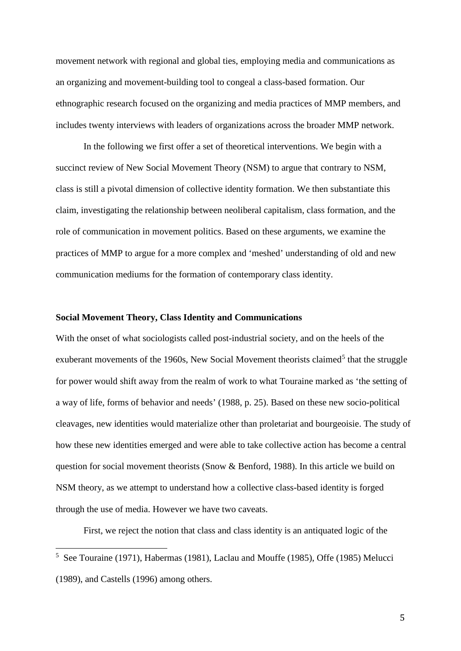movement network with regional and global ties, employing media and communications as an organizing and movement-building tool to congeal a class-based formation. Our ethnographic research focused on the organizing and media practices of MMP members, and includes twenty interviews with leaders of organizations across the broader MMP network.

In the following we first offer a set of theoretical interventions. We begin with a succinct review of New Social Movement Theory (NSM) to argue that contrary to NSM, class is still a pivotal dimension of collective identity formation. We then substantiate this claim, investigating the relationship between neoliberal capitalism, class formation, and the role of communication in movement politics. Based on these arguments, we examine the practices of MMP to argue for a more complex and 'meshed' understanding of old and new communication mediums for the formation of contemporary class identity.

#### **Social Movement Theory, Class Identity and Communications**

With the onset of what sociologists called post-industrial society, and on the heels of the exuberant movements of the 1960s, New Social Movement theorists claimed<sup>[5](#page-5-0)</sup> that the struggle for power would shift away from the realm of work to what Touraine marked as 'the setting of a way of life, forms of behavior and needs' (1988, p. 25). Based on these new socio-political cleavages, new identities would materialize other than proletariat and bourgeoisie. The study of how these new identities emerged and were able to take collective action has become a central question for social movement theorists (Snow & Benford, 1988). In this article we build on NSM theory, as we attempt to understand how a collective class-based identity is forged through the use of media. However we have two caveats.

First, we reject the notion that class and class identity is an antiquated logic of the

<span id="page-5-0"></span><sup>&</sup>lt;sup>5</sup> See Touraine (1971), Habermas (1981), Laclau and Mouffe (1985), Offe (1985) Melucci (1989), and Castells (1996) among others.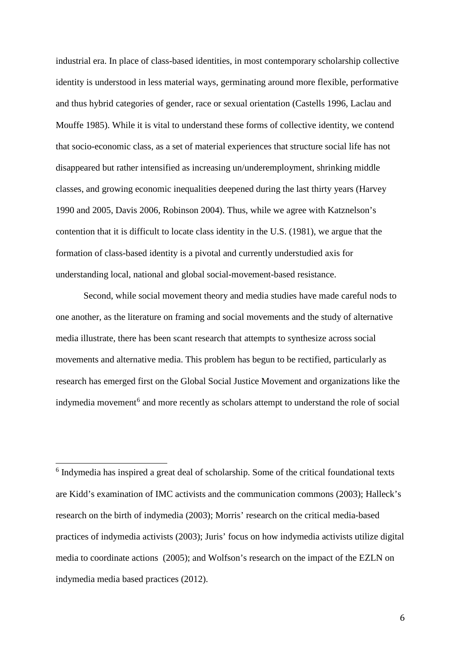industrial era. In place of class-based identities, in most contemporary scholarship collective identity is understood in less material ways, germinating around more flexible, performative and thus hybrid categories of gender, race or sexual orientation (Castells 1996, Laclau and Mouffe 1985). While it is vital to understand these forms of collective identity, we contend that socio-economic class, as a set of material experiences that structure social life has not disappeared but rather intensified as increasing un/underemployment, shrinking middle classes, and growing economic inequalities deepened during the last thirty years (Harvey 1990 and 2005, Davis 2006, Robinson 2004). Thus, while we agree with Katznelson's contention that it is difficult to locate class identity in the U.S. (1981), we argue that the formation of class-based identity is a pivotal and currently understudied axis for understanding local, national and global social-movement-based resistance.

Second, while social movement theory and media studies have made careful nods to one another, as the literature on framing and social movements and the study of alternative media illustrate, there has been scant research that attempts to synthesize across social movements and alternative media. This problem has begun to be rectified, particularly as research has emerged first on the Global Social Justice Movement and organizations like the indymedia movement<sup>[6](#page-6-0)</sup> and more recently as scholars attempt to understand the role of social

<span id="page-6-0"></span> <sup>6</sup> Indymedia has inspired a great deal of scholarship. Some of the critical foundational texts are Kidd's examination of IMC activists and the communication commons (2003); Halleck's research on the birth of indymedia (2003); Morris' research on the critical media-based practices of indymedia activists (2003); Juris' focus on how indymedia activists utilize digital media to coordinate actions (2005); and Wolfson's research on the impact of the EZLN on indymedia media based practices (2012).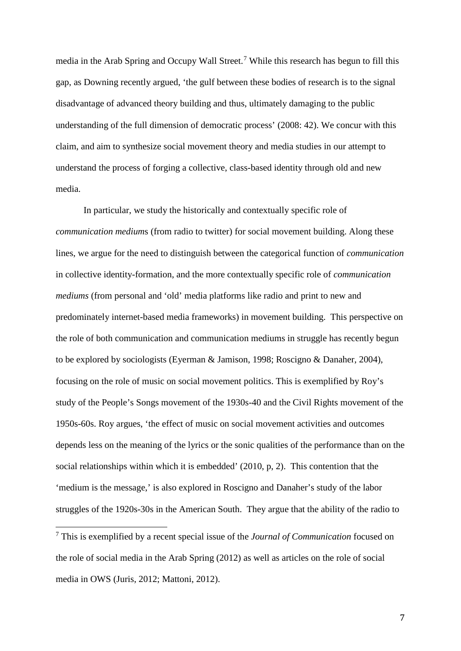media in the Arab Spring and Occupy Wall Street.<sup>[7](#page-7-0)</sup> While this research has begun to fill this gap, as Downing recently argued, 'the gulf between these bodies of research is to the signal disadvantage of advanced theory building and thus, ultimately damaging to the public understanding of the full dimension of democratic process' (2008: 42). We concur with this claim, and aim to synthesize social movement theory and media studies in our attempt to understand the process of forging a collective, class-based identity through old and new media.

In particular, we study the historically and contextually specific role of *communication medium*s (from radio to twitter) for social movement building. Along these lines, we argue for the need to distinguish between the categorical function of *communication* in collective identity-formation, and the more contextually specific role of *communication mediums* (from personal and 'old' media platforms like radio and print to new and predominately internet-based media frameworks) in movement building. This perspective on the role of both communication and communication mediums in struggle has recently begun to be explored by sociologists (Eyerman & Jamison, 1998; Roscigno & Danaher, 2004), focusing on the role of music on social movement politics. This is exemplified by Roy's study of the People's Songs movement of the 1930s-40 and the Civil Rights movement of the 1950s-60s. Roy argues, 'the effect of music on social movement activities and outcomes depends less on the meaning of the lyrics or the sonic qualities of the performance than on the social relationships within which it is embedded' (2010, p, 2). This contention that the 'medium is the message,' is also explored in Roscigno and Danaher's study of the labor struggles of the 1920s-30s in the American South. They argue that the ability of the radio to

<span id="page-7-0"></span><sup>7</sup> This is exemplified by a recent special issue of the *Journal of Communication* focused on the role of social media in the Arab Spring (2012) as well as articles on the role of social media in OWS (Juris, 2012; Mattoni, 2012).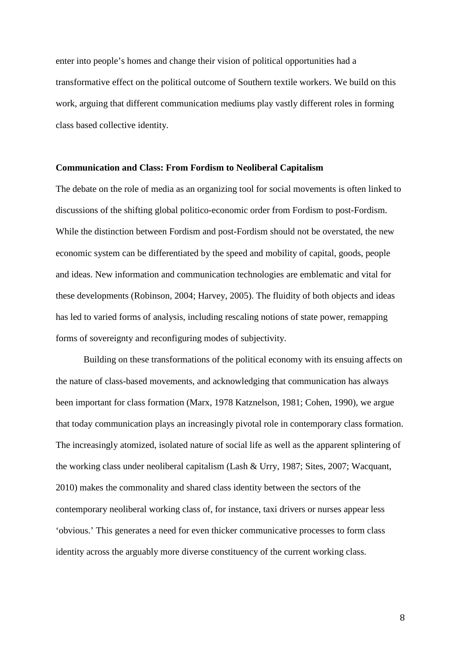enter into people's homes and change their vision of political opportunities had a transformative effect on the political outcome of Southern textile workers. We build on this work, arguing that different communication mediums play vastly different roles in forming class based collective identity.

#### **Communication and Class: From Fordism to Neoliberal Capitalism**

The debate on the role of media as an organizing tool for social movements is often linked to discussions of the shifting global politico-economic order from Fordism to post-Fordism. While the distinction between Fordism and post-Fordism should not be overstated, the new economic system can be differentiated by the speed and mobility of capital, goods, people and ideas. New information and communication technologies are emblematic and vital for these developments (Robinson, 2004; Harvey, 2005). The fluidity of both objects and ideas has led to varied forms of analysis, including rescaling notions of state power, remapping forms of sovereignty and reconfiguring modes of subjectivity.

Building on these transformations of the political economy with its ensuing affects on the nature of class-based movements, and acknowledging that communication has always been important for class formation (Marx, 1978 Katznelson, 1981; Cohen, 1990), we argue that today communication plays an increasingly pivotal role in contemporary class formation. The increasingly atomized, isolated nature of social life as well as the apparent splintering of the working class under neoliberal capitalism (Lash & Urry, 1987; Sites, 2007; Wacquant, 2010) makes the commonality and shared class identity between the sectors of the contemporary neoliberal working class of, for instance, taxi drivers or nurses appear less 'obvious.' This generates a need for even thicker communicative processes to form class identity across the arguably more diverse constituency of the current working class.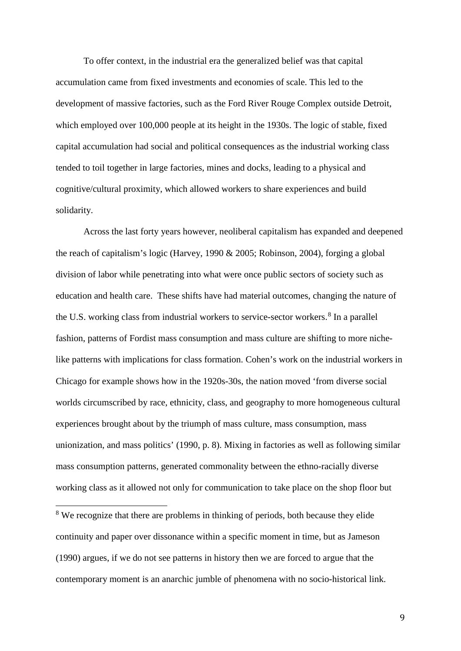To offer context, in the industrial era the generalized belief was that capital accumulation came from fixed investments and economies of scale. This led to the development of massive factories, such as the Ford River Rouge Complex outside Detroit, which employed over 100,000 people at its height in the 1930s. The logic of stable, fixed capital accumulation had social and political consequences as the industrial working class tended to toil together in large factories, mines and docks, leading to a physical and cognitive/cultural proximity, which allowed workers to share experiences and build solidarity.

Across the last forty years however, neoliberal capitalism has expanded and deepened the reach of capitalism's logic (Harvey, 1990 & 2005; Robinson, 2004), forging a global division of labor while penetrating into what were once public sectors of society such as education and health care. These shifts have had material outcomes, changing the nature of the U.S. working class from industrial workers to service-sector workers.<sup>[8](#page-9-0)</sup> In a parallel fashion, patterns of Fordist mass consumption and mass culture are shifting to more nichelike patterns with implications for class formation. Cohen's work on the industrial workers in Chicago for example shows how in the 1920s-30s, the nation moved 'from diverse social worlds circumscribed by race, ethnicity, class, and geography to more homogeneous cultural experiences brought about by the triumph of mass culture, mass consumption, mass unionization, and mass politics' (1990, p. 8). Mixing in factories as well as following similar mass consumption patterns, generated commonality between the ethno-racially diverse working class as it allowed not only for communication to take place on the shop floor but

<span id="page-9-0"></span><sup>8</sup> We recognize that there are problems in thinking of periods, both because they elide continuity and paper over dissonance within a specific moment in time, but as Jameson (1990) argues, if we do not see patterns in history then we are forced to argue that the contemporary moment is an anarchic jumble of phenomena with no socio-historical link.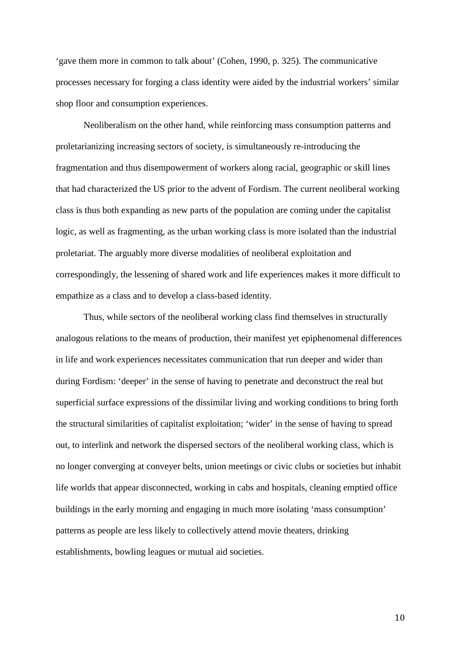'gave them more in common to talk about' (Cohen, 1990, p. 325). The communicative processes necessary for forging a class identity were aided by the industrial workers' similar shop floor and consumption experiences.

Neoliberalism on the other hand, while reinforcing mass consumption patterns and proletarianizing increasing sectors of society, is simultaneously re-introducing the fragmentation and thus disempowerment of workers along racial, geographic or skill lines that had characterized the US prior to the advent of Fordism. The current neoliberal working class is thus both expanding as new parts of the population are coming under the capitalist logic, as well as fragmenting, as the urban working class is more isolated than the industrial proletariat. The arguably more diverse modalities of neoliberal exploitation and correspondingly, the lessening of shared work and life experiences makes it more difficult to empathize as a class and to develop a class-based identity.

Thus, while sectors of the neoliberal working class find themselves in structurally analogous relations to the means of production, their manifest yet epiphenomenal differences in life and work experiences necessitates communication that run deeper and wider than during Fordism: 'deeper' in the sense of having to penetrate and deconstruct the real but superficial surface expressions of the dissimilar living and working conditions to bring forth the structural similarities of capitalist exploitation; 'wider' in the sense of having to spread out, to interlink and network the dispersed sectors of the neoliberal working class, which is no longer converging at conveyer belts, union meetings or civic clubs or societies but inhabit life worlds that appear disconnected, working in cabs and hospitals, cleaning emptied office buildings in the early morning and engaging in much more isolating 'mass consumption' patterns as people are less likely to collectively attend movie theaters, drinking establishments, bowling leagues or mutual aid societies.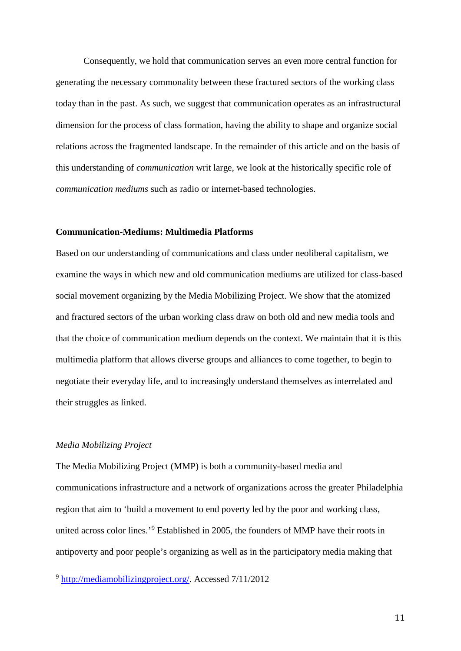Consequently, we hold that communication serves an even more central function for generating the necessary commonality between these fractured sectors of the working class today than in the past. As such, we suggest that communication operates as an infrastructural dimension for the process of class formation, having the ability to shape and organize social relations across the fragmented landscape. In the remainder of this article and on the basis of this understanding of *communication* writ large, we look at the historically specific role of *communication mediums* such as radio or internet-based technologies.

#### **Communication-Mediums: Multimedia Platforms**

Based on our understanding of communications and class under neoliberal capitalism, we examine the ways in which new and old communication mediums are utilized for class-based social movement organizing by the Media Mobilizing Project. We show that the atomized and fractured sectors of the urban working class draw on both old and new media tools and that the choice of communication medium depends on the context. We maintain that it is this multimedia platform that allows diverse groups and alliances to come together, to begin to negotiate their everyday life, and to increasingly understand themselves as interrelated and their struggles as linked.

#### *Media Mobilizing Project*

The Media Mobilizing Project (MMP) is both a community-based media and communications infrastructure and a network of organizations across the greater Philadelphia region that aim to 'build a movement to end poverty led by the poor and working class, united across color lines.'[9](#page-11-0) Established in 2005, the founders of MMP have their roots in antipoverty and poor people's organizing as well as in the participatory media making that

<span id="page-11-0"></span><sup>9</sup> [http://mediamobilizingproject.org/.](http://mediamobilizingproject.org/) Accessed 7/11/2012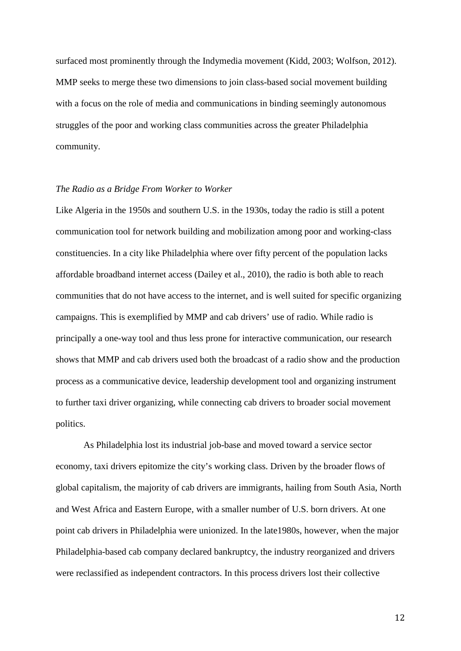surfaced most prominently through the Indymedia movement (Kidd, 2003; Wolfson, 2012). MMP seeks to merge these two dimensions to join class-based social movement building with a focus on the role of media and communications in binding seemingly autonomous struggles of the poor and working class communities across the greater Philadelphia community.

#### *The Radio as a Bridge From Worker to Worker*

Like Algeria in the 1950s and southern U.S. in the 1930s, today the radio is still a potent communication tool for network building and mobilization among poor and working-class constituencies. In a city like Philadelphia where over fifty percent of the population lacks affordable broadband internet access (Dailey et al., 2010), the radio is both able to reach communities that do not have access to the internet, and is well suited for specific organizing campaigns. This is exemplified by MMP and cab drivers' use of radio. While radio is principally a one-way tool and thus less prone for interactive communication, our research shows that MMP and cab drivers used both the broadcast of a radio show and the production process as a communicative device, leadership development tool and organizing instrument to further taxi driver organizing, while connecting cab drivers to broader social movement politics.

As Philadelphia lost its industrial job-base and moved toward a service sector economy, taxi drivers epitomize the city's working class. Driven by the broader flows of global capitalism, the majority of cab drivers are immigrants, hailing from South Asia, North and West Africa and Eastern Europe, with a smaller number of U.S. born drivers. At one point cab drivers in Philadelphia were unionized. In the late1980s, however, when the major Philadelphia-based cab company declared bankruptcy, the industry reorganized and drivers were reclassified as independent contractors. In this process drivers lost their collective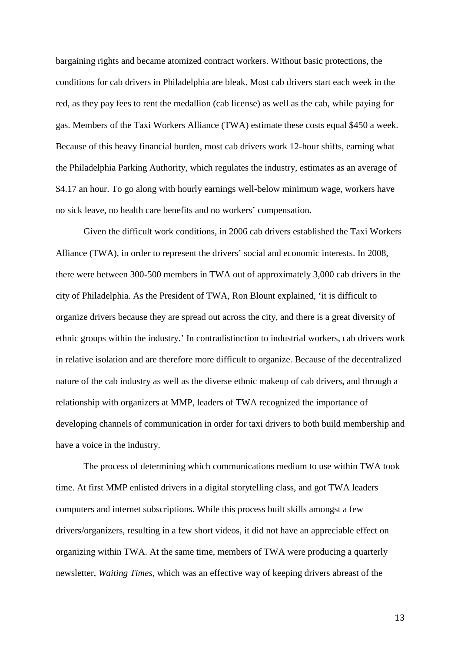bargaining rights and became atomized contract workers. Without basic protections, the conditions for cab drivers in Philadelphia are bleak. Most cab drivers start each week in the red, as they pay fees to rent the medallion (cab license) as well as the cab, while paying for gas. Members of the Taxi Workers Alliance (TWA) estimate these costs equal \$450 a week. Because of this heavy financial burden, most cab drivers work 12-hour shifts, earning what the Philadelphia Parking Authority, which regulates the industry, estimates as an average of \$4.17 an hour. To go along with hourly earnings well-below minimum wage, workers have no sick leave, no health care benefits and no workers' compensation.

Given the difficult work conditions, in 2006 cab drivers established the Taxi Workers Alliance (TWA), in order to represent the drivers' social and economic interests. In 2008, there were between 300-500 members in TWA out of approximately 3,000 cab drivers in the city of Philadelphia. As the President of TWA, Ron Blount explained, 'it is difficult to organize drivers because they are spread out across the city, and there is a great diversity of ethnic groups within the industry.' In contradistinction to industrial workers, cab drivers work in relative isolation and are therefore more difficult to organize. Because of the decentralized nature of the cab industry as well as the diverse ethnic makeup of cab drivers, and through a relationship with organizers at MMP, leaders of TWA recognized the importance of developing channels of communication in order for taxi drivers to both build membership and have a voice in the industry.

The process of determining which communications medium to use within TWA took time. At first MMP enlisted drivers in a digital storytelling class, and got TWA leaders computers and internet subscriptions. While this process built skills amongst a few drivers/organizers, resulting in a few short videos, it did not have an appreciable effect on organizing within TWA. At the same time, members of TWA were producing a quarterly newsletter, *Waiting Times*, which was an effective way of keeping drivers abreast of the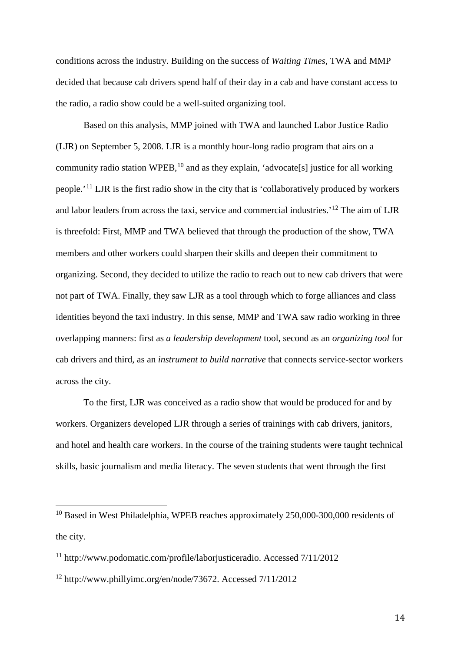conditions across the industry. Building on the success of *Waiting Times*, TWA and MMP decided that because cab drivers spend half of their day in a cab and have constant access to the radio, a radio show could be a well-suited organizing tool.

Based on this analysis, MMP joined with TWA and launched Labor Justice Radio (LJR) on September 5, 2008. LJR is a monthly hour-long radio program that airs on a community radio station WPEB,  $^{10}$  $^{10}$  $^{10}$  and as they explain, 'advocate[s] justice for all working people.'[11](#page-14-1) LJR is the first radio show in the city that is 'collaboratively produced by workers and labor leaders from across the taxi, service and commercial industries.'[12](#page-14-2) The aim of LJR is threefold: First, MMP and TWA believed that through the production of the show, TWA members and other workers could sharpen their skills and deepen their commitment to organizing. Second, they decided to utilize the radio to reach out to new cab drivers that were not part of TWA. Finally, they saw LJR as a tool through which to forge alliances and class identities beyond the taxi industry. In this sense, MMP and TWA saw radio working in three overlapping manners: first as *a leadership development* tool, second as an *organizing tool* for cab drivers and third, as an *instrument to build narrative* that connects service-sector workers across the city.

To the first, LJR was conceived as a radio show that would be produced for and by workers. Organizers developed LJR through a series of trainings with cab drivers, janitors, and hotel and health care workers. In the course of the training students were taught technical skills, basic journalism and media literacy. The seven students that went through the first

<span id="page-14-0"></span><sup>&</sup>lt;sup>10</sup> Based in West Philadelphia, WPEB reaches approximately 250,000-300,000 residents of the city.

<span id="page-14-1"></span><sup>11</sup> [http://www.podomatic.com/profile/laborjusticeradio.](http://www.podomatic.com/profile/laborjusticeradio) Accessed 7/11/2012

<span id="page-14-2"></span><sup>12</sup> [http://www.phillyimc.org/en/node/73672.](http://www.phillyimc.org/en/node/73672) Accessed 7/11/2012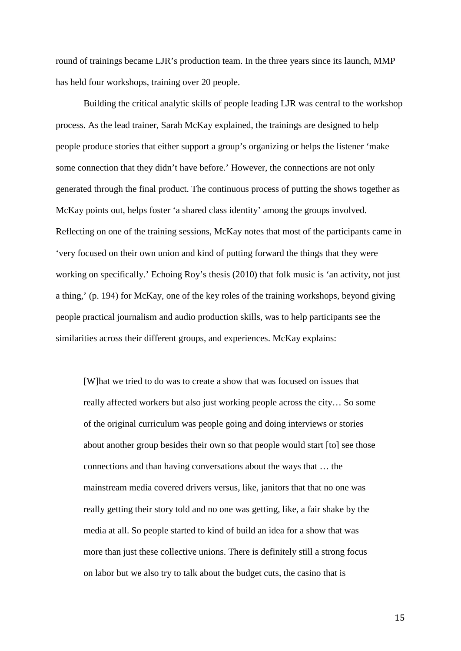round of trainings became LJR's production team. In the three years since its launch, MMP has held four workshops, training over 20 people.

Building the critical analytic skills of people leading LJR was central to the workshop process. As the lead trainer, Sarah McKay explained, the trainings are designed to help people produce stories that either support a group's organizing or helps the listener 'make some connection that they didn't have before.' However, the connections are not only generated through the final product. The continuous process of putting the shows together as McKay points out, helps foster 'a shared class identity' among the groups involved. Reflecting on one of the training sessions, McKay notes that most of the participants came in 'very focused on their own union and kind of putting forward the things that they were working on specifically.' Echoing Roy's thesis (2010) that folk music is 'an activity, not just a thing,' (p. 194) for McKay, one of the key roles of the training workshops, beyond giving people practical journalism and audio production skills, was to help participants see the similarities across their different groups, and experiences. McKay explains:

[W]hat we tried to do was to create a show that was focused on issues that really affected workers but also just working people across the city… So some of the original curriculum was people going and doing interviews or stories about another group besides their own so that people would start [to] see those connections and than having conversations about the ways that … the mainstream media covered drivers versus, like, janitors that that no one was really getting their story told and no one was getting, like, a fair shake by the media at all. So people started to kind of build an idea for a show that was more than just these collective unions. There is definitely still a strong focus on labor but we also try to talk about the budget cuts, the casino that is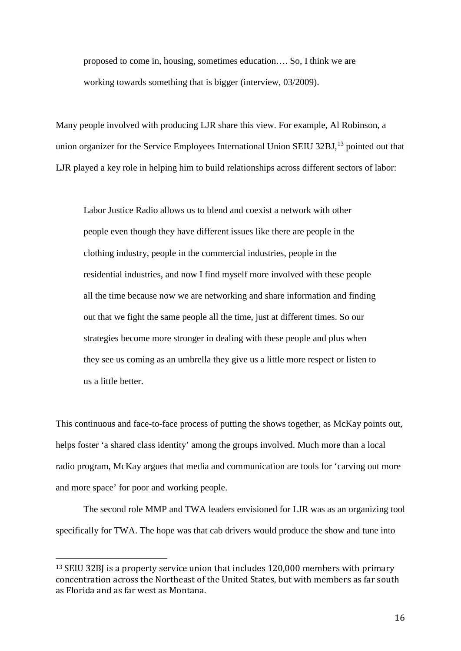proposed to come in, housing, sometimes education…. So, I think we are working towards something that is bigger (interview, 03/2009).

Many people involved with producing LJR share this view. For example, Al Robinson, a union organizer for the Service Employees International Union SEIU 32BJ,  $^{13}$  $^{13}$  $^{13}$  pointed out that LJR played a key role in helping him to build relationships across different sectors of labor:

Labor Justice Radio allows us to blend and coexist a network with other people even though they have different issues like there are people in the clothing industry, people in the commercial industries, people in the residential industries, and now I find myself more involved with these people all the time because now we are networking and share information and finding out that we fight the same people all the time, just at different times. So our strategies become more stronger in dealing with these people and plus when they see us coming as an umbrella they give us a little more respect or listen to us a little better.

This continuous and face-to-face process of putting the shows together, as McKay points out, helps foster 'a shared class identity' among the groups involved. Much more than a local radio program, McKay argues that media and communication are tools for 'carving out more and more space' for poor and working people.

The second role MMP and TWA leaders envisioned for LJR was as an organizing tool specifically for TWA. The hope was that cab drivers would produce the show and tune into

<span id="page-16-0"></span><sup>&</sup>lt;sup>13</sup> SEIU 32BJ is a property service union that includes 120,000 members with primary concentration across the Northeast of the United States, but with members as far south as Florida and as far west as Montana.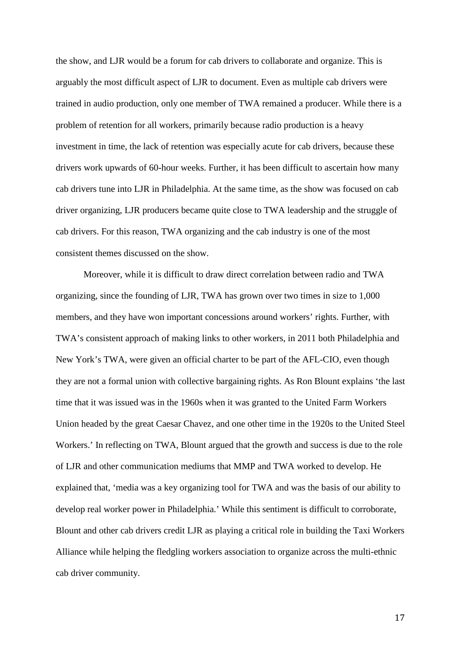the show, and LJR would be a forum for cab drivers to collaborate and organize. This is arguably the most difficult aspect of LJR to document. Even as multiple cab drivers were trained in audio production, only one member of TWA remained a producer. While there is a problem of retention for all workers, primarily because radio production is a heavy investment in time, the lack of retention was especially acute for cab drivers, because these drivers work upwards of 60-hour weeks. Further, it has been difficult to ascertain how many cab drivers tune into LJR in Philadelphia. At the same time, as the show was focused on cab driver organizing, LJR producers became quite close to TWA leadership and the struggle of cab drivers. For this reason, TWA organizing and the cab industry is one of the most consistent themes discussed on the show.

Moreover, while it is difficult to draw direct correlation between radio and TWA organizing, since the founding of LJR, TWA has grown over two times in size to 1,000 members, and they have won important concessions around workers' rights. Further, with TWA's consistent approach of making links to other workers, in 2011 both Philadelphia and New York's TWA, were given an official charter to be part of the AFL-CIO, even though they are not a formal union with collective bargaining rights. As Ron Blount explains 'the last time that it was issued was in the 1960s when it was granted to the United Farm Workers Union headed by the great Caesar Chavez, and one other time in the 1920s to the United Steel Workers.' In reflecting on TWA, Blount argued that the growth and success is due to the role of LJR and other communication mediums that MMP and TWA worked to develop. He explained that, 'media was a key organizing tool for TWA and was the basis of our ability to develop real worker power in Philadelphia.' While this sentiment is difficult to corroborate, Blount and other cab drivers credit LJR as playing a critical role in building the Taxi Workers Alliance while helping the fledgling workers association to organize across the multi-ethnic cab driver community.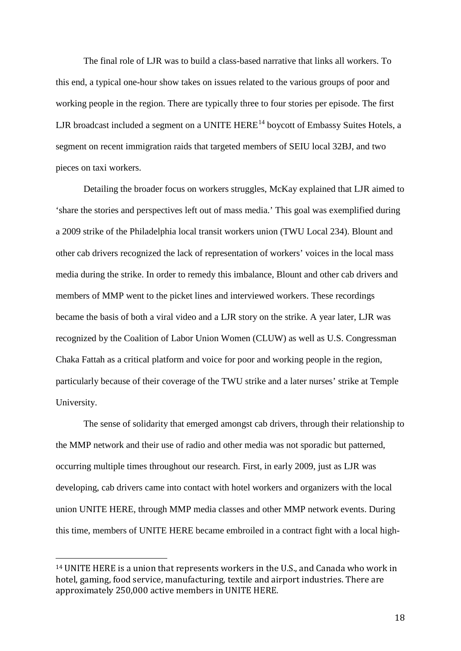The final role of LJR was to build a class-based narrative that links all workers. To this end, a typical one-hour show takes on issues related to the various groups of poor and working people in the region. There are typically three to four stories per episode. The first LJR broadcast included a segment on a UNITE  $HERE^{14}$  $HERE^{14}$  $HERE^{14}$  boycott of Embassy Suites Hotels, a segment on recent immigration raids that targeted members of SEIU local 32BJ, and two pieces on taxi workers.

Detailing the broader focus on workers struggles, McKay explained that LJR aimed to 'share the stories and perspectives left out of mass media.' This goal was exemplified during a 2009 strike of the Philadelphia local transit workers union (TWU Local 234). Blount and other cab drivers recognized the lack of representation of workers' voices in the local mass media during the strike. In order to remedy this imbalance, Blount and other cab drivers and members of MMP went to the picket lines and interviewed workers. These recordings became the basis of both a viral video and a LJR story on the strike. A year later, LJR was recognized by the Coalition of Labor Union Women (CLUW) as well as U.S. Congressman Chaka Fattah as a critical platform and voice for poor and working people in the region, particularly because of their coverage of the TWU strike and a later nurses' strike at Temple University.

The sense of solidarity that emerged amongst cab drivers, through their relationship to the MMP network and their use of radio and other media was not sporadic but patterned, occurring multiple times throughout our research. First, in early 2009, just as LJR was developing, cab drivers came into contact with hotel workers and organizers with the local union UNITE HERE, through MMP media classes and other MMP network events. During this time, members of UNITE HERE became embroiled in a contract fight with a local high-

<span id="page-18-0"></span> <sup>14</sup> UNITE HERE is a union that represents workers in the U.S., and Canada who work in hotel, gaming, food service, manufacturing, textile and airport industries. There are approximately 250,000 active members in UNITE HERE.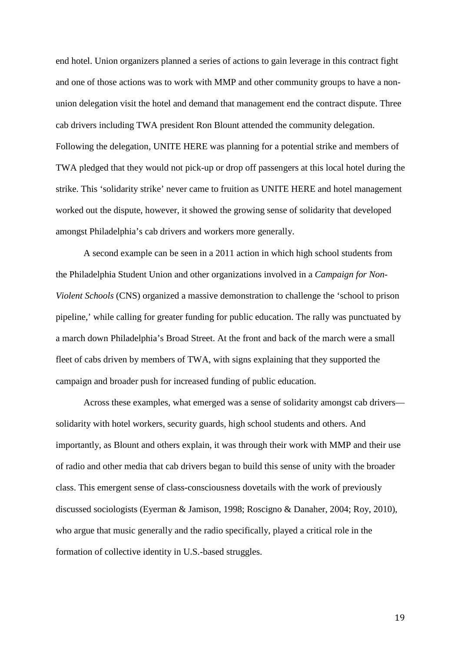end hotel. Union organizers planned a series of actions to gain leverage in this contract fight and one of those actions was to work with MMP and other community groups to have a nonunion delegation visit the hotel and demand that management end the contract dispute. Three cab drivers including TWA president Ron Blount attended the community delegation. Following the delegation, UNITE HERE was planning for a potential strike and members of TWA pledged that they would not pick-up or drop off passengers at this local hotel during the strike. This 'solidarity strike' never came to fruition as UNITE HERE and hotel management worked out the dispute, however, it showed the growing sense of solidarity that developed amongst Philadelphia's cab drivers and workers more generally.

A second example can be seen in a 2011 action in which high school students from the Philadelphia Student Union and other organizations involved in a *Campaign for Non-Violent Schools* (CNS) organized a massive demonstration to challenge the 'school to prison pipeline,' while calling for greater funding for public education. The rally was punctuated by a march down Philadelphia's Broad Street. At the front and back of the march were a small fleet of cabs driven by members of TWA, with signs explaining that they supported the campaign and broader push for increased funding of public education.

Across these examples, what emerged was a sense of solidarity amongst cab drivers solidarity with hotel workers, security guards, high school students and others. And importantly, as Blount and others explain, it was through their work with MMP and their use of radio and other media that cab drivers began to build this sense of unity with the broader class. This emergent sense of class-consciousness dovetails with the work of previously discussed sociologists (Eyerman & Jamison, 1998; Roscigno & Danaher, 2004; Roy, 2010), who argue that music generally and the radio specifically, played a critical role in the formation of collective identity in U.S.-based struggles.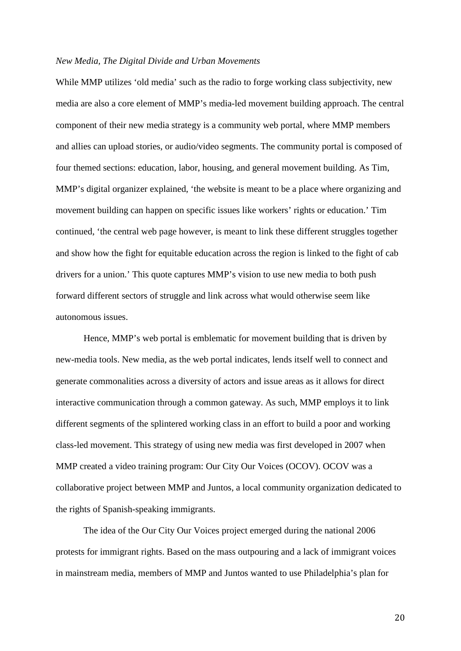#### *New Media, The Digital Divide and Urban Movements*

While MMP utilizes 'old media' such as the radio to forge working class subjectivity, new media are also a core element of MMP's media-led movement building approach. The central component of their new media strategy is a community web portal, where MMP members and allies can upload stories, or audio/video segments. The community portal is composed of four themed sections: education, labor, housing, and general movement building. As Tim, MMP's digital organizer explained, 'the website is meant to be a place where organizing and movement building can happen on specific issues like workers' rights or education.' Tim continued, 'the central web page however, is meant to link these different struggles together and show how the fight for equitable education across the region is linked to the fight of cab drivers for a union.' This quote captures MMP's vision to use new media to both push forward different sectors of struggle and link across what would otherwise seem like autonomous issues.

Hence, MMP's web portal is emblematic for movement building that is driven by new-media tools. New media, as the web portal indicates, lends itself well to connect and generate commonalities across a diversity of actors and issue areas as it allows for direct interactive communication through a common gateway. As such, MMP employs it to link different segments of the splintered working class in an effort to build a poor and working class-led movement. This strategy of using new media was first developed in 2007 when MMP created a video training program: Our City Our Voices (OCOV). OCOV was a collaborative project between MMP and Juntos, a local community organization dedicated to the rights of Spanish-speaking immigrants.

The idea of the Our City Our Voices project emerged during the national 2006 protests for immigrant rights. Based on the mass outpouring and a lack of immigrant voices in mainstream media, members of MMP and Juntos wanted to use Philadelphia's plan for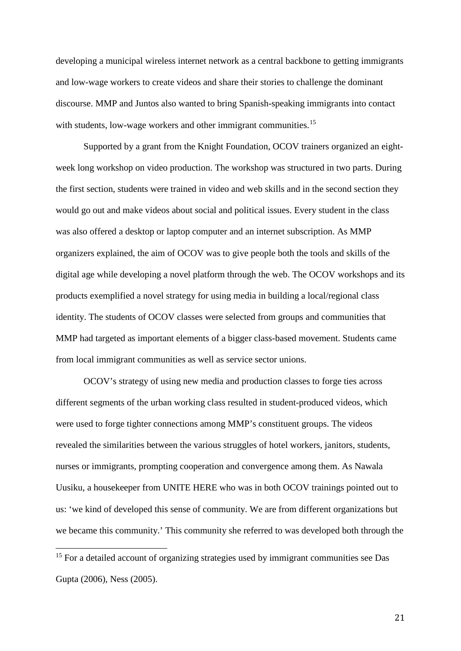developing a municipal wireless internet network as a central backbone to getting immigrants and low-wage workers to create videos and share their stories to challenge the dominant discourse. MMP and Juntos also wanted to bring Spanish-speaking immigrants into contact with students, low-wage workers and other immigrant communities.<sup>[15](#page-21-0)</sup>

Supported by a grant from the Knight Foundation, OCOV trainers organized an eightweek long workshop on video production. The workshop was structured in two parts. During the first section, students were trained in video and web skills and in the second section they would go out and make videos about social and political issues. Every student in the class was also offered a desktop or laptop computer and an internet subscription. As MMP organizers explained, the aim of OCOV was to give people both the tools and skills of the digital age while developing a novel platform through the web. The OCOV workshops and its products exemplified a novel strategy for using media in building a local/regional class identity. The students of OCOV classes were selected from groups and communities that MMP had targeted as important elements of a bigger class-based movement. Students came from local immigrant communities as well as service sector unions.

OCOV's strategy of using new media and production classes to forge ties across different segments of the urban working class resulted in student-produced videos, which were used to forge tighter connections among MMP's constituent groups. The videos revealed the similarities between the various struggles of hotel workers, janitors, students, nurses or immigrants, prompting cooperation and convergence among them. As Nawala Uusiku, a housekeeper from UNITE HERE who was in both OCOV trainings pointed out to us: 'we kind of developed this sense of community. We are from different organizations but we became this community.' This community she referred to was developed both through the

<span id="page-21-0"></span><sup>&</sup>lt;sup>15</sup> For a detailed account of organizing strategies used by immigrant communities see Das Gupta (2006), Ness (2005).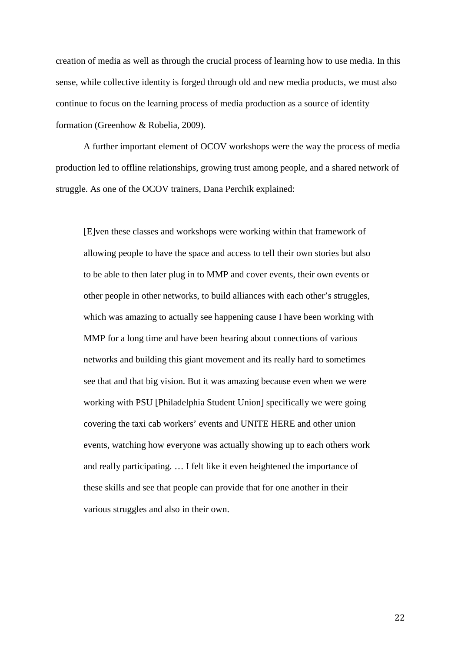creation of media as well as through the crucial process of learning how to use media. In this sense, while collective identity is forged through old and new media products, we must also continue to focus on the learning process of media production as a source of identity formation (Greenhow & Robelia, 2009).

A further important element of OCOV workshops were the way the process of media production led to offline relationships, growing trust among people, and a shared network of struggle. As one of the OCOV trainers, Dana Perchik explained:

[E]ven these classes and workshops were working within that framework of allowing people to have the space and access to tell their own stories but also to be able to then later plug in to MMP and cover events, their own events or other people in other networks, to build alliances with each other's struggles, which was amazing to actually see happening cause I have been working with MMP for a long time and have been hearing about connections of various networks and building this giant movement and its really hard to sometimes see that and that big vision. But it was amazing because even when we were working with PSU [Philadelphia Student Union] specifically we were going covering the taxi cab workers' events and UNITE HERE and other union events, watching how everyone was actually showing up to each others work and really participating. … I felt like it even heightened the importance of these skills and see that people can provide that for one another in their various struggles and also in their own.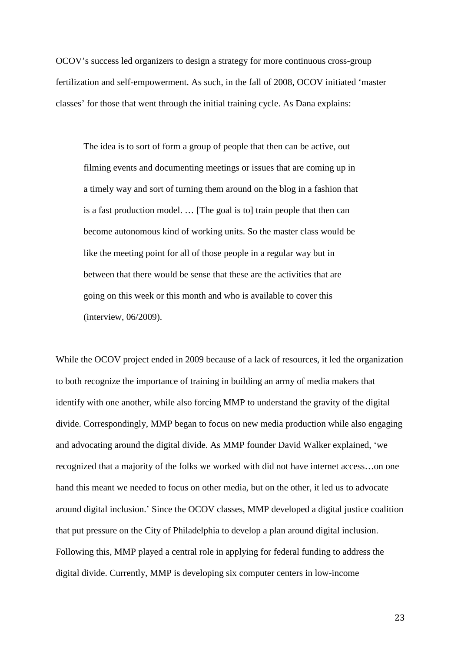OCOV's success led organizers to design a strategy for more continuous cross-group fertilization and self-empowerment. As such, in the fall of 2008, OCOV initiated 'master classes' for those that went through the initial training cycle. As Dana explains:

The idea is to sort of form a group of people that then can be active, out filming events and documenting meetings or issues that are coming up in a timely way and sort of turning them around on the blog in a fashion that is a fast production model. … [The goal is to] train people that then can become autonomous kind of working units. So the master class would be like the meeting point for all of those people in a regular way but in between that there would be sense that these are the activities that are going on this week or this month and who is available to cover this (interview, 06/2009).

While the OCOV project ended in 2009 because of a lack of resources, it led the organization to both recognize the importance of training in building an army of media makers that identify with one another, while also forcing MMP to understand the gravity of the digital divide. Correspondingly, MMP began to focus on new media production while also engaging and advocating around the digital divide. As MMP founder David Walker explained, 'we recognized that a majority of the folks we worked with did not have internet access…on one hand this meant we needed to focus on other media, but on the other, it led us to advocate around digital inclusion.' Since the OCOV classes, MMP developed a digital justice coalition that put pressure on the City of Philadelphia to develop a plan around digital inclusion. Following this, MMP played a central role in applying for federal funding to address the digital divide. Currently, MMP is developing six computer centers in low-income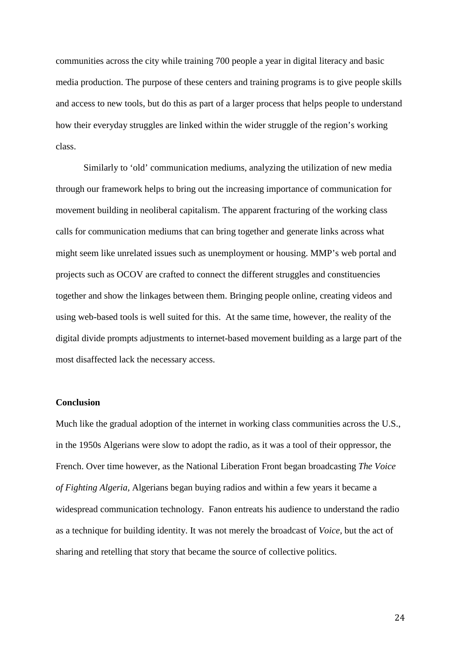communities across the city while training 700 people a year in digital literacy and basic media production. The purpose of these centers and training programs is to give people skills and access to new tools, but do this as part of a larger process that helps people to understand how their everyday struggles are linked within the wider struggle of the region's working class.

Similarly to 'old' communication mediums, analyzing the utilization of new media through our framework helps to bring out the increasing importance of communication for movement building in neoliberal capitalism. The apparent fracturing of the working class calls for communication mediums that can bring together and generate links across what might seem like unrelated issues such as unemployment or housing. MMP's web portal and projects such as OCOV are crafted to connect the different struggles and constituencies together and show the linkages between them. Bringing people online, creating videos and using web-based tools is well suited for this. At the same time, however, the reality of the digital divide prompts adjustments to internet-based movement building as a large part of the most disaffected lack the necessary access.

### **Conclusion**

Much like the gradual adoption of the internet in working class communities across the U.S., in the 1950s Algerians were slow to adopt the radio, as it was a tool of their oppressor, the French. Over time however, as the National Liberation Front began broadcasting *The Voice of Fighting Algeria,* Algerians began buying radios and within a few years it became a widespread communication technology. Fanon entreats his audience to understand the radio as a technique for building identity. It was not merely the broadcast of *Voice,* but the act of sharing and retelling that story that became the source of collective politics.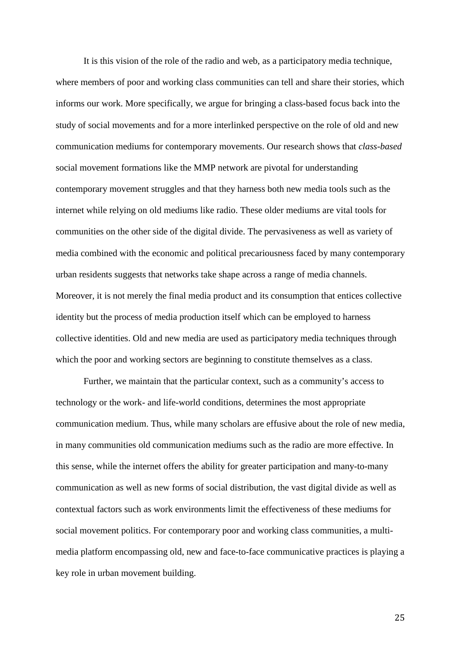It is this vision of the role of the radio and web, as a participatory media technique, where members of poor and working class communities can tell and share their stories, which informs our work. More specifically, we argue for bringing a class-based focus back into the study of social movements and for a more interlinked perspective on the role of old and new communication mediums for contemporary movements. Our research shows that *class-based* social movement formations like the MMP network are pivotal for understanding contemporary movement struggles and that they harness both new media tools such as the internet while relying on old mediums like radio. These older mediums are vital tools for communities on the other side of the digital divide. The pervasiveness as well as variety of media combined with the economic and political precariousness faced by many contemporary urban residents suggests that networks take shape across a range of media channels. Moreover, it is not merely the final media product and its consumption that entices collective identity but the process of media production itself which can be employed to harness collective identities. Old and new media are used as participatory media techniques through which the poor and working sectors are beginning to constitute themselves as a class.

Further, we maintain that the particular context, such as a community's access to technology or the work- and life-world conditions, determines the most appropriate communication medium. Thus, while many scholars are effusive about the role of new media, in many communities old communication mediums such as the radio are more effective. In this sense, while the internet offers the ability for greater participation and many-to-many communication as well as new forms of social distribution, the vast digital divide as well as contextual factors such as work environments limit the effectiveness of these mediums for social movement politics. For contemporary poor and working class communities, a multimedia platform encompassing old, new and face-to-face communicative practices is playing a key role in urban movement building.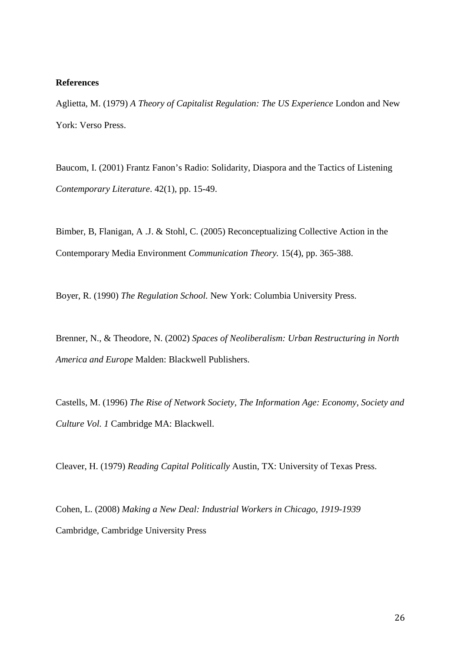#### **References**

Aglietta, M. (1979) *A Theory of Capitalist Regulation: The US Experience* London and New York: Verso Press.

Baucom, I. (2001) Frantz Fanon's Radio: Solidarity, Diaspora and the Tactics of Listening *Contemporary Literature*. 42(1), pp. 15-49.

Bimber, B, Flanigan, A .J. & Stohl, C. (2005) Reconceptualizing Collective Action in the Contemporary Media Environment *Communication Theory.* 15(4), pp. 365-388.

Boyer, R. (1990) *The Regulation School.* New York: Columbia University Press.

Brenner, N., & Theodore, N. (2002) *Spaces of Neoliberalism: Urban Restructuring in North America and Europe* Malden: Blackwell Publishers.

Castells, M. (1996) *The Rise of Network Society, The Information Age: Economy, Society and Culture Vol. 1* Cambridge MA: Blackwell.

Cleaver, H. (1979) *Reading Capital Politically* Austin, TX: University of Texas Press.

Cohen, L. (2008) *Making a New Deal: Industrial Workers in Chicago, 1919-1939* Cambridge, Cambridge University Press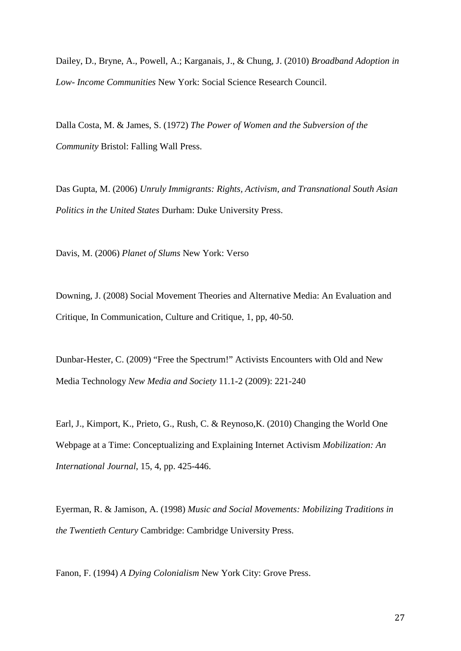Dailey, D., Bryne, A., Powell, A.; Karganais, J., & Chung, J. (2010) *Broadband Adoption in Low- Income Communities* New York: Social Science Research Council.

Dalla Costa, M. & James, S. (1972) *The Power of Women and the Subversion of the Community* Bristol: Falling Wall Press.

Das Gupta, M. (2006) *Unruly Immigrants: Rights, Activism, and Transnational South Asian Politics in the United States* Durham: Duke University Press.

Davis, M. (2006) *Planet of Slums* New York: Verso

Downing, J. (2008) Social Movement Theories and Alternative Media: An Evaluation and Critique, In Communication, Culture and Critique, 1, pp, 40-50.

Dunbar-Hester, C. (2009) "Free the Spectrum!" Activists Encounters with Old and New Media Technology *New Media and Society* 11.1-2 (2009): 221-240

Earl, J., Kimport, K., Prieto, G., Rush, C. & Reynoso,K. (2010) Changing the World One Webpage at a Time: Conceptualizing and Explaining Internet Activism *Mobilization: An International Journal*, 15, 4, pp. 425-446.

Eyerman, R. & Jamison, A. (1998) *Music and Social Movements: Mobilizing Traditions in the Twentieth Century* Cambridge: Cambridge University Press.

Fanon, F. (1994) *A Dying Colonialism* New York City: Grove Press.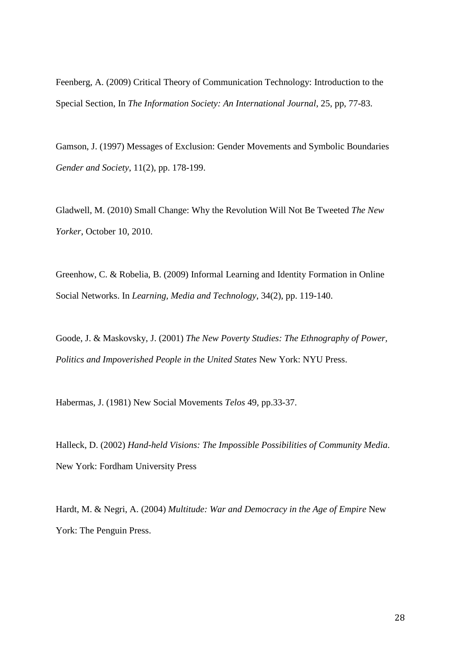Feenberg, A. (2009) Critical Theory of Communication Technology: Introduction to the Special Section, In *The Information Society: An International Journal*, 25, pp, 77-83.

Gamson, J. (1997) Messages of Exclusion: Gender Movements and Symbolic Boundaries *Gender and Society*, 11(2), pp. 178-199.

Gladwell, M. (2010) Small Change: Why the Revolution Will Not Be Tweeted *The New Yorker*, October 10, 2010.

Greenhow, C. & Robelia, B. (2009) Informal Learning and Identity Formation in Online Social Networks. In *Learning, Media and Technology*, 34(2), pp. 119-140.

Goode, J. & Maskovsky, J. (2001) *The New Poverty Studies: The Ethnography of Power, Politics and Impoverished People in the United States* New York: NYU Press.

Habermas, J. (1981) New Social Movements *Telos* 49, pp.33-37.

Halleck, D. (2002) *Hand-held Visions: The Impossible Possibilities of Community Media*. New York: Fordham University Press

Hardt, M. & Negri, A. (2004) *Multitude: War and Democracy in the Age of Empire* New York: The Penguin Press.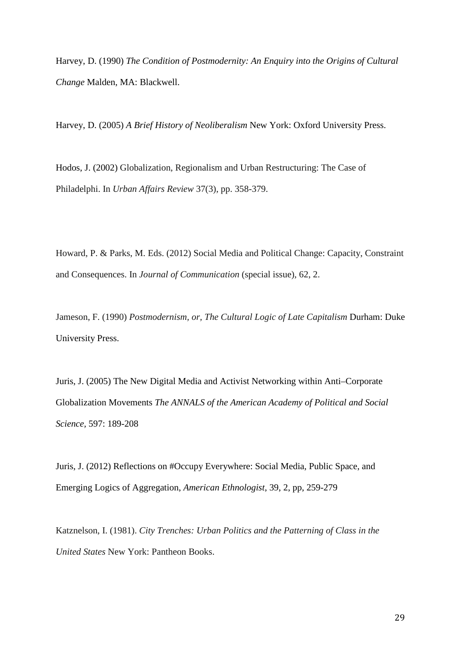Harvey, D. (1990) *The Condition of Postmodernity: An Enquiry into the Origins of Cultural Change* Malden, MA: Blackwell.

Harvey, D. (2005) *A Brief History of Neoliberalism* New York: Oxford University Press.

Hodos, J. (2002) Globalization, Regionalism and Urban Restructuring: The Case of Philadelphi. In *Urban Affairs Review* 37(3), pp. 358-379.

Howard, P. & Parks, M. Eds. (2012) Social Media and Political Change: Capacity, Constraint and Consequences. In *Journal of Communication* (special issue), 62, 2.

Jameson, F. (1990) *Postmodernism, or, The Cultural Logic of Late Capitalism* Durham: Duke University Press.

Juris, J. (2005) The New Digital Media and Activist Networking within Anti–Corporate Globalization Movements *The ANNALS of the American Academy of Political and Social Science,* 597: 189-208

Juris, J. (2012) Reflections on #Occupy Everywhere: Social Media, Public Space, and Emerging Logics of Aggregation, *American Ethnologist*, 39, 2, pp, 259-279

Katznelson, I. (1981). *City Trenches: Urban Politics and the Patterning of Class in the United States* New York: Pantheon Books.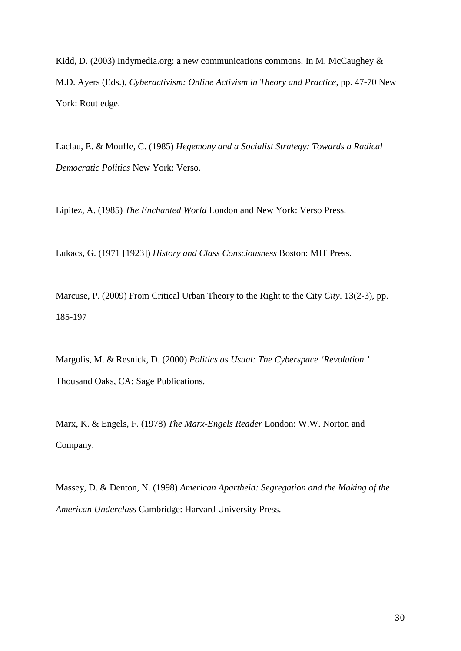Kidd, D. (2003) Indymedia.org: a new communications commons. In M. McCaughey & M.D. Ayers (Eds.), *Cyberactivism: Online Activism in Theory and Practice*, pp. 47-70 New York: Routledge.

Laclau, E. & Mouffe, C. (1985) *Hegemony and a Socialist Strategy: Towards a Radical Democratic Politics* New York: Verso.

Lipitez, A. (1985) *The Enchanted World* London and New York: Verso Press.

Lukacs, G. (1971 [1923]) *History and Class Consciousness* Boston: MIT Press.

Marcuse, P. (2009) From Critical Urban Theory to the Right to the City *City*. 13(2-3), pp. 185-197

Margolis, M. & Resnick, D. (2000) *Politics as Usual: The Cyberspace 'Revolution.'*  Thousand Oaks, CA: Sage Publications.

Marx, K. & Engels, F. (1978) *The Marx-Engels Reader* London: W.W. Norton and Company.

Massey, D. & Denton, N. (1998) *American Apartheid: Segregation and the Making of the American Underclass* Cambridge: Harvard University Press.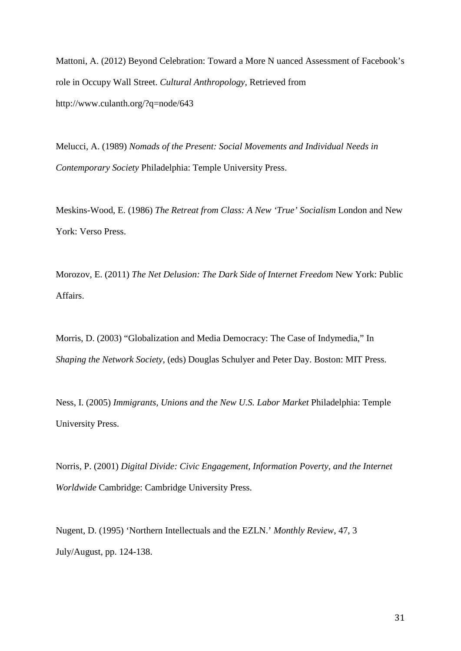Mattoni, A. (2012) Beyond Celebration: Toward a More N uanced Assessment of Facebook's role in Occupy Wall Street. *Cultural Anthropology,* Retrieved from http://www.culanth.org/?q=node/643

Melucci, A. (1989) *Nomads of the Present: Social Movements and Individual Needs in Contemporary Society* Philadelphia: Temple University Press.

Meskins-Wood, E. (1986) *The Retreat from Class: A New 'True' Socialism* London and New York: Verso Press.

Morozov, E. (2011) *The Net Delusion: The Dark Side of Internet Freedom* New York: Public Affairs.

Morris, D. (2003) "Globalization and Media Democracy: The Case of Indymedia," In *Shaping the Network Society*, (eds) Douglas Schulyer and Peter Day. Boston: MIT Press.

Ness, I. (2005) *Immigrants, Unions and the New U.S. Labor Market* Philadelphia: Temple University Press.

Norris, P. (2001) *Digital Divide: Civic Engagement, Information Poverty, and the Internet Worldwide* Cambridge: Cambridge University Press.

Nugent, D. (1995) 'Northern Intellectuals and the EZLN.' *Monthly Review*, 47, 3 July/August, pp. 124-138.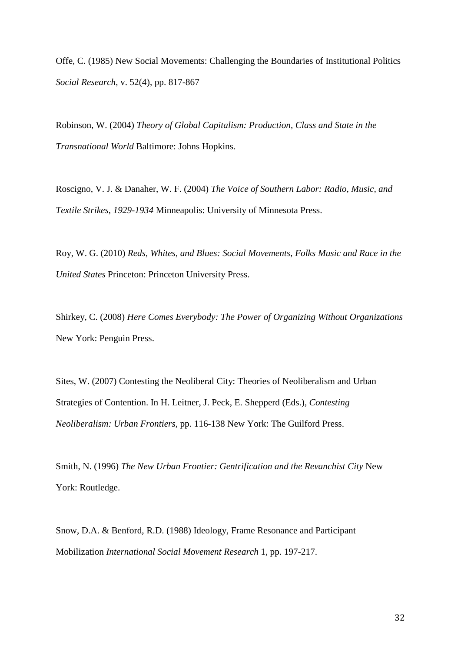Offe, C. (1985) New Social Movements: Challenging the Boundaries of Institutional Politics *Social Research*, v. 52(4), pp. 817-867

Robinson, W. (2004) *Theory of Global Capitalism: Production, Class and State in the Transnational World* Baltimore: Johns Hopkins.

Roscigno, V. J. & Danaher, W. F. (2004) *The Voice of Southern Labor: Radio, Music, and Textile Strikes, 1929-1934* Minneapolis: University of Minnesota Press.

Roy, W. G. (2010) *Reds, Whites, and Blues: Social Movements, Folks Music and Race in the United States* Princeton: Princeton University Press.

Shirkey, C. (2008) *Here Comes Everybody: The Power of Organizing Without Organizations* New York: Penguin Press.

Sites, W. (2007) Contesting the Neoliberal City: Theories of Neoliberalism and Urban Strategies of Contention. In H. Leitner, J. Peck, E. Shepperd (Eds.), *Contesting Neoliberalism: Urban Frontiers*, pp. 116-138 New York: The Guilford Press.

Smith, N. (1996) *The New Urban Frontier: Gentrification and the Revanchist City* New York: Routledge.

Snow, D.A. & Benford, R.D. (1988) Ideology, Frame Resonance and Participant Mobilization *International Social Movement Research* 1, pp. 197-217.